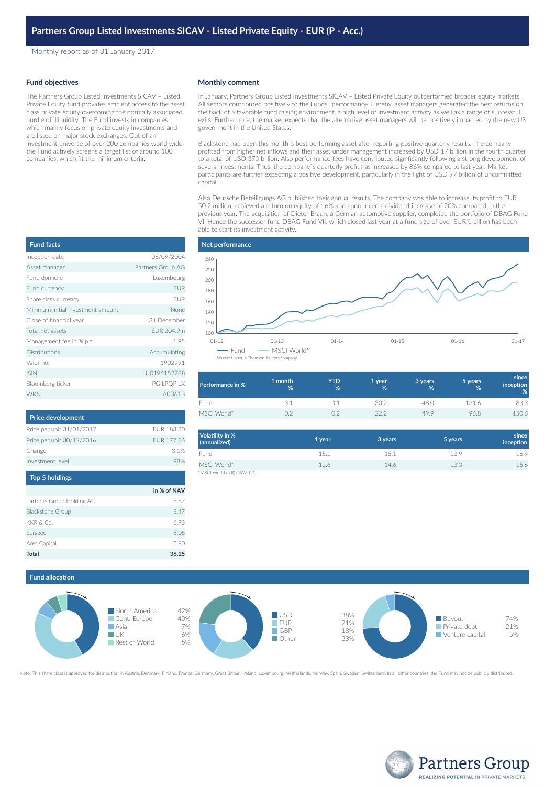Monthly report as of 31 January 2017

### **Fund objectives**

The Partners Group Listed Investments SICAV – Listed Private Equity fund provides efficient access to the asset class private equity overcoming the normally associated hurdle of illiquidity. The Fund invests in companies which mainly focus on private equity investments and are listed on major stock exchanges. Out of an investment universe of over 200 companies world wide, the Fund actively screens a target list of around 100 companies, which fit the minimum criteria.

## **Monthly comment**

In January, Partners Group Listed Investments SICAV – Listed Private Equity outperformed broader equity markets. All sectors contributed positively to the Funds` performance. Hereby, asset managers generated the best returns on the back of a favorable fund raising environment, a high level of investment activity as well as a range of successful exits. Furthermore, the market expects that the alternative asset managers will be positively impacted by the new US government in the United States.

Blackstone had been this month`s best performing asset after reporting positive quarterly results. The company profited from higher net inflows and their asset under management increased by USD 17 billion in the fourth quarter to a total of USD 370 billion. Also performance fees have contributed significantly following a strong development of several investments. Thus, the company`s quarterly profit has increased by 86% compared to last year. Market participants are further expecting a positive development, particularly in the light of USD 97 billion of uncommitted capital.

Also Deutsche Beteiligungs AG published their annual results. The company was able to increase its profit to EUR 50.2 million, achieved a return on equity of 16% and announced a dividend-increase of 20% compared to the previous year. The acquisition of Dieter Braun, a German automotive supplier, completed the portfolio of DBAG Fund VI. Hence the successor fund DBAG Fund VII, which closed last year at a fund size of over EUR 1 billion has been able to start its investment activity.

| <b>Fund facts</b>                 |                   |
|-----------------------------------|-------------------|
| Inception date                    | 06/09/2004        |
| Asset manager                     | Partners Group AG |
| Fund domicile                     | Luxembourg        |
| Fund currency                     | <b>EUR</b>        |
| Share class currency              | <b>FUR</b>        |
| Minimum initial investment amount | None              |
| Close of financial year           | 31 December       |
| Total net assets                  | FUR 204.9m        |
| Management fee in % p.a.          | 1.95              |
| <b>Distributions</b>              | Accumulating      |
| Valor no                          | 1902991           |
| <b>ISIN</b>                       | LU0196152788      |
| Bloomberg ticker                  | <b>PGILPOP LX</b> |
| <b>WKN</b>                        | A0B61F            |

| <b>Price development</b>  |            |
|---------------------------|------------|
| Price per unit 31/01/2017 | FUR 183.30 |
| Price per unit 30/12/2016 | FUR 177.86 |
| Change                    | 31%        |
| Investment level          | 98%        |
|                           |            |

| <b>Top 5 holdings</b>     |             |
|---------------------------|-------------|
|                           | in % of NAV |
| Partners Group Holding AG | 8.87        |
| <b>Blackstone Group</b>   | 8.47        |
| KKR & Co.                 | 6.93        |
| Furazeo                   | 6.08        |
| Ares Capital              | 5.90        |
| Total                     | 36.25       |



| Performance in % | 1 month<br>% | <b>YTD</b><br>% | '1 year<br>% | 3 years<br>% | 5 years<br>% | since<br>inception<br>% |
|------------------|--------------|-----------------|--------------|--------------|--------------|-------------------------|
| Fund             | 3.1          |                 | 30.2         | 48.0         | 131.6        | 83.3                    |
| MSCI World*      |              |                 | 222          | 49.9         | 96.8         | 150.6                   |

| Volatility in %<br>(annualized) | 1 year | 3 years | 5 years | since<br>inception |
|---------------------------------|--------|---------|---------|--------------------|
| Fund                            | 15.1   | 15.1    | 13.9    | 16.9               |
| MSCI World*                     | 12.6   | 14.6    | 13.0    | 15.6               |
| *MSCI World (NR) (NAV T-1)      |        |         |         |                    |

# **Fund allocation**



Note: This share class is approved for distribution in Austria, Denmark, Finland, France, Germany, Great Britain, Ireland, Luxembourg, Netherlands, Norway, Spain, Sweden, Switzerland. In all other countries, the Fund may n